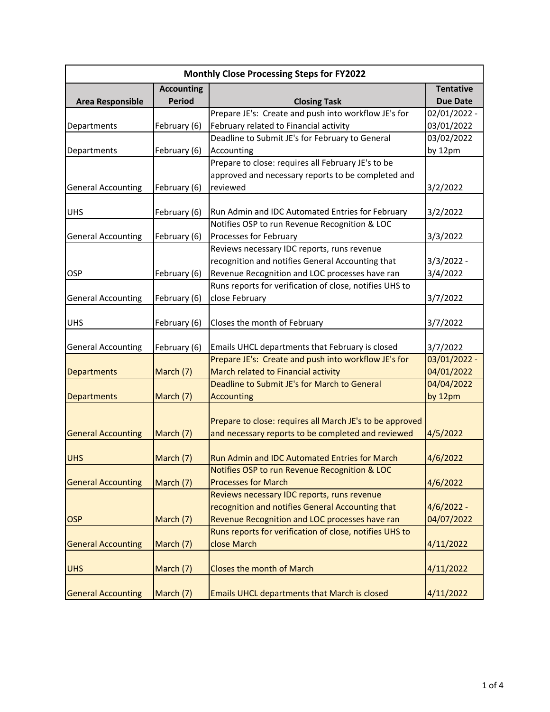| <b>Monthly Close Processing Steps for FY2022</b> |                   |                                                                                                           |                  |  |
|--------------------------------------------------|-------------------|-----------------------------------------------------------------------------------------------------------|------------------|--|
|                                                  | <b>Accounting</b> |                                                                                                           | <b>Tentative</b> |  |
| <b>Area Responsible</b>                          | <b>Period</b>     | <b>Closing Task</b>                                                                                       | <b>Due Date</b>  |  |
|                                                  |                   | Prepare JE's: Create and push into workflow JE's for                                                      | 02/01/2022 -     |  |
| Departments                                      | February (6)      | February related to Financial activity                                                                    | 03/01/2022       |  |
|                                                  |                   | Deadline to Submit JE's for February to General                                                           | 03/02/2022       |  |
| Departments                                      | February (6)      | Accounting                                                                                                | by 12pm          |  |
|                                                  |                   | Prepare to close: requires all February JE's to be                                                        |                  |  |
|                                                  |                   | approved and necessary reports to be completed and                                                        |                  |  |
| <b>General Accounting</b>                        | February (6)      | reviewed                                                                                                  | 3/2/2022         |  |
|                                                  |                   |                                                                                                           |                  |  |
| <b>UHS</b>                                       | February (6)      | Run Admin and IDC Automated Entries for February                                                          | 3/2/2022         |  |
|                                                  |                   | Notifies OSP to run Revenue Recognition & LOC                                                             |                  |  |
| <b>General Accounting</b>                        | February (6)      | Processes for February                                                                                    | 3/3/2022         |  |
|                                                  |                   | Reviews necessary IDC reports, runs revenue                                                               |                  |  |
|                                                  |                   | recognition and notifies General Accounting that                                                          | $3/3/2022 -$     |  |
| OSP                                              | February (6)      | Revenue Recognition and LOC processes have ran                                                            | 3/4/2022         |  |
|                                                  |                   | Runs reports for verification of close, notifies UHS to                                                   |                  |  |
| <b>General Accounting</b>                        | February (6)      | close February                                                                                            | 3/7/2022         |  |
|                                                  |                   |                                                                                                           |                  |  |
| <b>UHS</b>                                       | February (6)      | Closes the month of February                                                                              | 3/7/2022         |  |
|                                                  |                   |                                                                                                           |                  |  |
| <b>General Accounting</b>                        | February (6)      | Emails UHCL departments that February is closed                                                           | 3/7/2022         |  |
|                                                  |                   | Prepare JE's: Create and push into workflow JE's for                                                      | 03/01/2022 -     |  |
| <b>Departments</b>                               | March (7)         | March related to Financial activity                                                                       | 04/01/2022       |  |
|                                                  |                   | Deadline to Submit JE's for March to General                                                              | 04/04/2022       |  |
| <b>Departments</b>                               | March (7)         | <b>Accounting</b>                                                                                         | by 12pm          |  |
|                                                  |                   |                                                                                                           |                  |  |
|                                                  |                   | Prepare to close: requires all March JE's to be approved                                                  |                  |  |
| <b>General Accounting</b>                        | March (7)         | and necessary reports to be completed and reviewed                                                        | 4/5/2022         |  |
|                                                  |                   | <b>Run Admin and IDC Automated Entries for March</b>                                                      | 4/6/2022         |  |
| <b>UHS</b>                                       | March (7)         | Notifies OSP to run Revenue Recognition & LOC                                                             |                  |  |
| <b>General Accounting</b>                        |                   | <b>Processes for March</b>                                                                                |                  |  |
|                                                  | March (7)         | Reviews necessary IDC reports, runs revenue                                                               | 4/6/2022         |  |
|                                                  |                   | recognition and notifies General Accounting that                                                          | $4/6/2022 -$     |  |
| <b>OSP</b>                                       |                   |                                                                                                           |                  |  |
|                                                  | March (7)         | Revenue Recognition and LOC processes have ran<br>Runs reports for verification of close, notifies UHS to | 04/07/2022       |  |
|                                                  |                   | close March                                                                                               |                  |  |
| <b>General Accounting</b>                        | March (7)         |                                                                                                           | 4/11/2022        |  |
| <b>UHS</b>                                       | March (7)         | <b>Closes the month of March</b>                                                                          | 4/11/2022        |  |
|                                                  |                   |                                                                                                           |                  |  |
| <b>General Accounting</b>                        | March (7)         | <b>Emails UHCL departments that March is closed</b>                                                       | 4/11/2022        |  |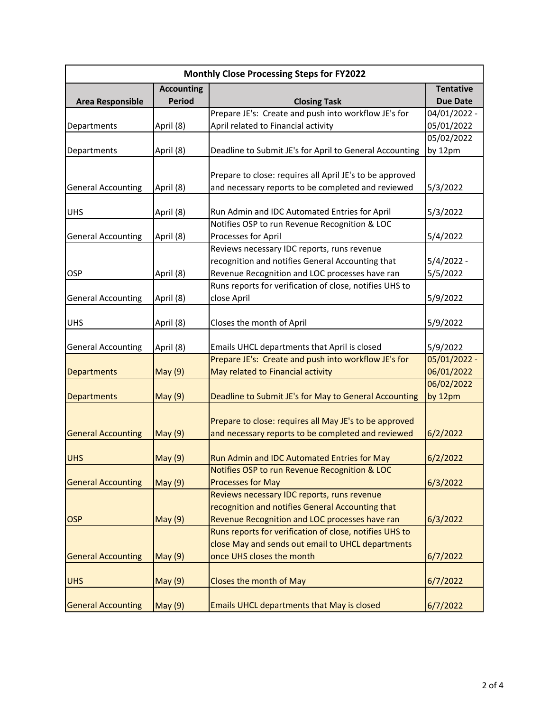| <b>Monthly Close Processing Steps for FY2022</b> |                   |                                                                                                      |                          |  |
|--------------------------------------------------|-------------------|------------------------------------------------------------------------------------------------------|--------------------------|--|
|                                                  | <b>Accounting</b> |                                                                                                      | <b>Tentative</b>         |  |
| <b>Area Responsible</b>                          | <b>Period</b>     | <b>Closing Task</b>                                                                                  | <b>Due Date</b>          |  |
|                                                  |                   | Prepare JE's: Create and push into workflow JE's for                                                 | 04/01/2022 -             |  |
| Departments                                      | April (8)         | April related to Financial activity                                                                  | 05/01/2022               |  |
|                                                  |                   |                                                                                                      | 05/02/2022               |  |
| Departments                                      | April (8)         | Deadline to Submit JE's for April to General Accounting                                              | by 12pm                  |  |
|                                                  |                   |                                                                                                      |                          |  |
|                                                  |                   | Prepare to close: requires all April JE's to be approved                                             |                          |  |
| <b>General Accounting</b>                        | April (8)         | and necessary reports to be completed and reviewed                                                   | 5/3/2022                 |  |
| <b>UHS</b>                                       | April (8)         | Run Admin and IDC Automated Entries for April                                                        | 5/3/2022                 |  |
|                                                  |                   | Notifies OSP to run Revenue Recognition & LOC                                                        |                          |  |
| <b>General Accounting</b>                        | April (8)         | Processes for April                                                                                  | 5/4/2022                 |  |
|                                                  |                   | Reviews necessary IDC reports, runs revenue                                                          |                          |  |
|                                                  |                   | recognition and notifies General Accounting that                                                     | $5/4/2022 -$             |  |
| OSP                                              | April (8)         | Revenue Recognition and LOC processes have ran                                                       | 5/5/2022                 |  |
|                                                  |                   | Runs reports for verification of close, notifies UHS to                                              |                          |  |
| <b>General Accounting</b>                        | April (8)         | close April                                                                                          | 5/9/2022                 |  |
|                                                  |                   |                                                                                                      |                          |  |
| <b>UHS</b>                                       | April (8)         | Closes the month of April                                                                            | 5/9/2022                 |  |
|                                                  |                   |                                                                                                      |                          |  |
| <b>General Accounting</b>                        | April (8)         | Emails UHCL departments that April is closed<br>Prepare JE's: Create and push into workflow JE's for | 5/9/2022<br>05/01/2022 - |  |
|                                                  |                   | May related to Financial activity                                                                    | 06/01/2022               |  |
| <b>Departments</b>                               | <b>May (9)</b>    |                                                                                                      | 06/02/2022               |  |
| <b>Departments</b>                               | May (9)           | Deadline to Submit JE's for May to General Accounting                                                | by 12pm                  |  |
|                                                  |                   |                                                                                                      |                          |  |
|                                                  |                   | Prepare to close: requires all May JE's to be approved                                               |                          |  |
| <b>General Accounting</b>                        | May (9)           | and necessary reports to be completed and reviewed                                                   | 6/2/2022                 |  |
|                                                  |                   |                                                                                                      |                          |  |
| <b>UHS</b>                                       | <b>May (9)</b>    | Run Admin and IDC Automated Entries for May                                                          | 6/2/2022                 |  |
|                                                  |                   | Notifies OSP to run Revenue Recognition & LOC                                                        |                          |  |
| <b>General Accounting</b>                        | <b>May</b> (9)    | <b>Processes for May</b>                                                                             | 6/3/2022                 |  |
|                                                  |                   | Reviews necessary IDC reports, runs revenue                                                          |                          |  |
|                                                  |                   | recognition and notifies General Accounting that                                                     |                          |  |
| <b>OSP</b>                                       | <b>May (9)</b>    | Revenue Recognition and LOC processes have ran                                                       | 6/3/2022                 |  |
|                                                  |                   | Runs reports for verification of close, notifies UHS to                                              |                          |  |
|                                                  |                   | close May and sends out email to UHCL departments                                                    |                          |  |
| <b>General Accounting</b>                        | <b>May (9)</b>    | once UHS closes the month                                                                            | 6/7/2022                 |  |
|                                                  |                   |                                                                                                      |                          |  |
| <b>UHS</b>                                       | <b>May (9)</b>    | Closes the month of May                                                                              | 6/7/2022                 |  |
|                                                  |                   |                                                                                                      |                          |  |
| <b>General Accounting</b>                        | <b>May (9)</b>    | Emails UHCL departments that May is closed                                                           | 6/7/2022                 |  |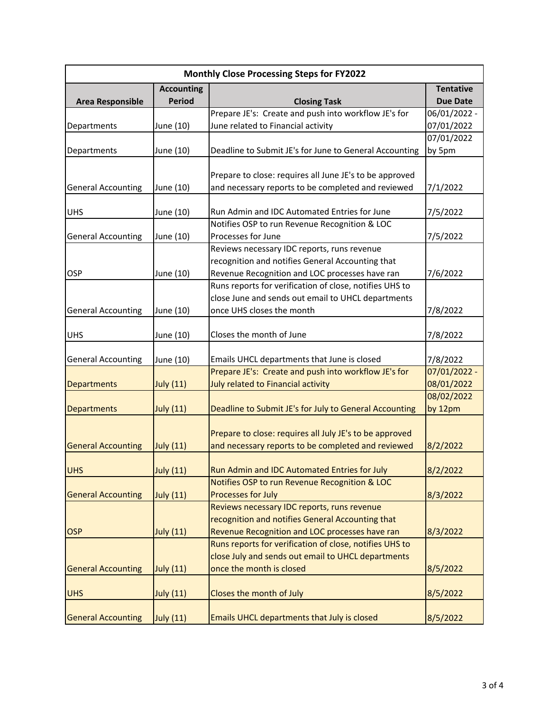| <b>Monthly Close Processing Steps for FY2022</b> |                   |                                                         |                  |  |  |
|--------------------------------------------------|-------------------|---------------------------------------------------------|------------------|--|--|
|                                                  | <b>Accounting</b> |                                                         | <b>Tentative</b> |  |  |
| <b>Area Responsible</b>                          | <b>Period</b>     | <b>Closing Task</b>                                     | <b>Due Date</b>  |  |  |
|                                                  |                   | Prepare JE's: Create and push into workflow JE's for    | 06/01/2022 -     |  |  |
| Departments                                      | June (10)         | June related to Financial activity                      | 07/01/2022       |  |  |
|                                                  |                   |                                                         | 07/01/2022       |  |  |
| Departments                                      | June (10)         | Deadline to Submit JE's for June to General Accounting  | by 5pm           |  |  |
|                                                  |                   |                                                         |                  |  |  |
|                                                  |                   | Prepare to close: requires all June JE's to be approved |                  |  |  |
| <b>General Accounting</b>                        | June (10)         | and necessary reports to be completed and reviewed      | 7/1/2022         |  |  |
| <b>UHS</b>                                       | June (10)         | Run Admin and IDC Automated Entries for June            | 7/5/2022         |  |  |
|                                                  |                   | Notifies OSP to run Revenue Recognition & LOC           |                  |  |  |
| <b>General Accounting</b>                        | June (10)         | Processes for June                                      | 7/5/2022         |  |  |
|                                                  |                   | Reviews necessary IDC reports, runs revenue             |                  |  |  |
|                                                  |                   | recognition and notifies General Accounting that        |                  |  |  |
| OSP                                              | June (10)         | Revenue Recognition and LOC processes have ran          | 7/6/2022         |  |  |
|                                                  |                   | Runs reports for verification of close, notifies UHS to |                  |  |  |
|                                                  |                   | close June and sends out email to UHCL departments      |                  |  |  |
| <b>General Accounting</b>                        | June (10)         | once UHS closes the month                               | 7/8/2022         |  |  |
|                                                  |                   |                                                         |                  |  |  |
| <b>UHS</b>                                       | June (10)         | Closes the month of June                                | 7/8/2022         |  |  |
|                                                  |                   |                                                         |                  |  |  |
| <b>General Accounting</b>                        | June (10)         | Emails UHCL departments that June is closed             | 7/8/2022         |  |  |
|                                                  |                   | Prepare JE's: Create and push into workflow JE's for    | 07/01/2022 -     |  |  |
| Departments                                      | <b>July (11)</b>  | July related to Financial activity                      | 08/01/2022       |  |  |
|                                                  |                   |                                                         | 08/02/2022       |  |  |
| Departments                                      | <b>July (11)</b>  | Deadline to Submit JE's for July to General Accounting  | by 12pm          |  |  |
|                                                  |                   |                                                         |                  |  |  |
|                                                  |                   | Prepare to close: requires all July JE's to be approved |                  |  |  |
| <b>General Accounting</b>                        | <b>July (11)</b>  | and necessary reports to be completed and reviewed      | 8/2/2022         |  |  |
| <b>UHS</b>                                       | <b>July (11)</b>  | Run Admin and IDC Automated Entries for July            | 8/2/2022         |  |  |
|                                                  |                   | Notifies OSP to run Revenue Recognition & LOC           |                  |  |  |
| <b>General Accounting</b>                        | <b>July (11)</b>  | <b>Processes for July</b>                               | 8/3/2022         |  |  |
|                                                  |                   | Reviews necessary IDC reports, runs revenue             |                  |  |  |
|                                                  |                   | recognition and notifies General Accounting that        |                  |  |  |
| <b>OSP</b>                                       | <b>July (11)</b>  | Revenue Recognition and LOC processes have ran          | 8/3/2022         |  |  |
|                                                  |                   | Runs reports for verification of close, notifies UHS to |                  |  |  |
|                                                  |                   | close July and sends out email to UHCL departments      |                  |  |  |
| <b>General Accounting</b>                        | <b>July (11)</b>  | once the month is closed                                | 8/5/2022         |  |  |
|                                                  |                   |                                                         |                  |  |  |
| <b>UHS</b>                                       | <b>July (11)</b>  | Closes the month of July                                | 8/5/2022         |  |  |
|                                                  |                   |                                                         |                  |  |  |
| <b>General Accounting</b>                        | <b>July (11)</b>  | Emails UHCL departments that July is closed             | 8/5/2022         |  |  |